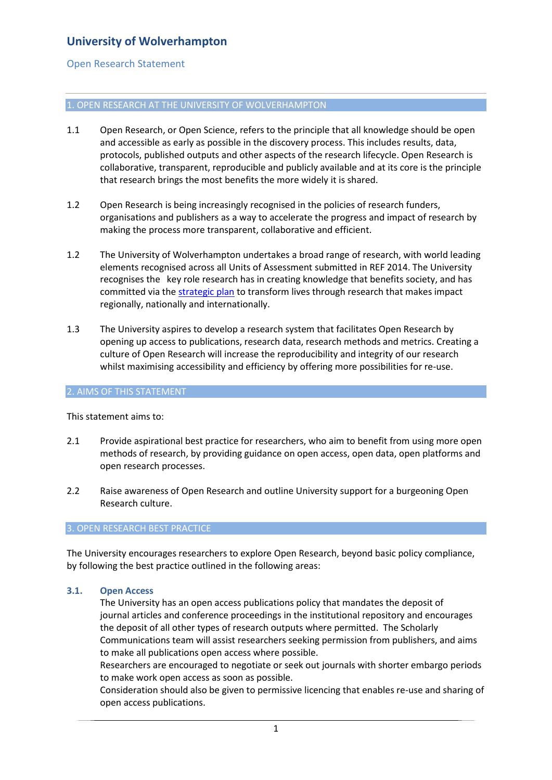# **University of Wolverhampton**

## Open Research Statement

### 1. OPEN RESEARCH AT THE UNIVERSITY OF WOLVERHAMPTON

- 1.1 Open Research, or Open Science, refers to the principle that all knowledge should be open and accessible as early as possible in the discovery process. This includes results, data, protocols, published outputs and other aspects of the research lifecycle. Open Research is collaborative, transparent, reproducible and publicly available and at its core is the principle that research brings the most benefits the more widely it is shared.
- 1.2 Open Research is being increasingly recognised in the policies of research funders, organisations and publishers as a way to accelerate the progress and impact of research by making the process more transparent, collaborative and efficient.
- 1.2 The University of Wolverhampton undertakes a broad range of research, with world leading elements recognised across all Units of Assessment submitted in REF 2014. The University recognises the key role research has in creating knowledge that benefits society, and has committed via the [strategic plan](https://www.wlv.ac.uk/about-us/corporate-information/strategic-plan--kpis/) to transform lives through research that makes impact regionally, nationally and internationally.
- 1.3 The University aspires to develop a research system that facilitates Open Research by opening up access to publications, research data, research methods and metrics. Creating a culture of Open Research will increase the reproducibility and integrity of our research whilst maximising accessibility and efficiency by offering more possibilities for re-use.

#### 2. AIMS OF THIS STATEMENT

This statement aims to:

- 2.1 Provide aspirational best practice for researchers, who aim to benefit from using more open methods of research, by providing guidance on open access, open data, open platforms and open research processes.
- 2.2 Raise awareness of Open Research and outline University support for a burgeoning Open Research culture.

#### 3. OPEN RESEARCH BEST PRACTICE

The University encourages researchers to explore Open Research, beyond basic policy compliance, by following the best practice outlined in the following areas:

#### **3.1. Open Access**

The University has an open access publications policy that mandates the deposit of journal articles and conference proceedings in the institutional repository and encourages the deposit of all other types of research outputs where permitted. The Scholarly Communications team will assist researchers seeking permission from publishers, and aims to make all publications open access where possible.

Researchers are encouraged to negotiate or seek out journals with shorter embargo periods to make work open access as soon as possible.

Consideration should also be given to permissive licencing that enables re-use and sharing of open access publications.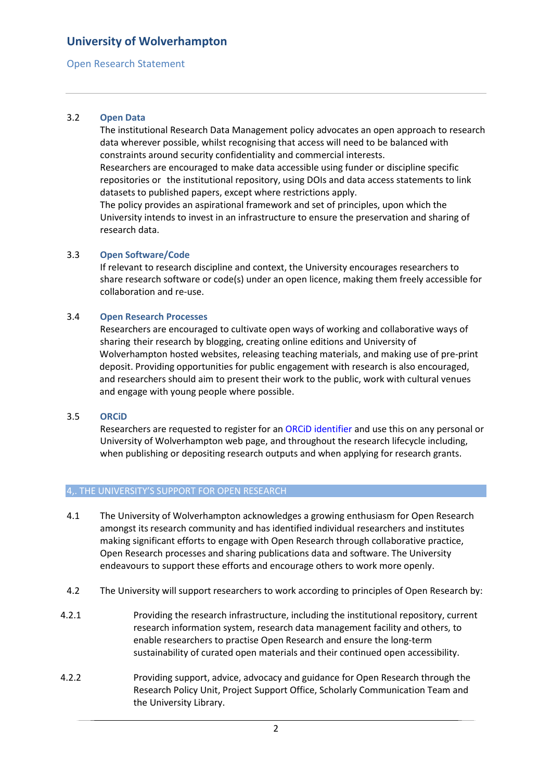## **University of Wolverhampton**

## Open Research Statement

### 3.2 **Open Data**

The institutional Research Data Management policy advocates an open approach to research data wherever possible, whilst recognising that access will need to be balanced with constraints around security confidentiality and commercial interests.

Researchers are encouraged to make data accessible using funder or discipline specific repositories or the institutional repository, using DOIs and data access statements to link datasets to published papers, except where restrictions apply.

The policy provides an aspirational framework and set of principles, upon which the University intends to invest in an infrastructure to ensure the preservation and sharing of research data.

## 3.3 **Open Software/Code**

If relevant to research discipline and context, the University encourages researchers to share research software or code(s) under an open licence, making them freely accessible for collaboration and re-use.

## 3.4 **Open Research Processes**

Researchers are encouraged to cultivate open ways of working and collaborative ways of sharing their research by blogging, creating online editions and University of Wolverhampton hosted websites, releasing teaching materials, and making use of pre-print deposit. Providing opportunities for public engagement with research is also encouraged, and researchers should aim to present their work to the public, work with cultural venues and engage with young people where possible.

#### 3.5 **ORCiD**

Researchers are requested to register for an ORCiD identifier and use this on any personal or University of Wolverhampton web page, and throughout the research lifecycle including, when publishing or depositing research outputs and when applying for research grants.

#### 4,. THE UNIVERSITY'S SUPPORT FOR OPEN RESEARCH

- 4.1 The University of Wolverhampton acknowledges a growing enthusiasm for Open Research amongst its research community and has identified individual researchers and institutes making significant efforts to engage with Open Research through collaborative practice, Open Research processes and sharing publications data and software. The University endeavours to support these efforts and encourage others to work more openly.
- 4.2 The University will support researchers to work according to principles of Open Research by:
- 4.2.1 Providing the research infrastructure, including the institutional repository, current research information system, research data management facility and others, to enable researchers to practise Open Research and ensure the long-term sustainability of curated open materials and their continued open accessibility.
- 4.2.2 Providing support, advice, advocacy and guidance for Open Research through the Research Policy Unit, Project Support Office, Scholarly Communication Team and the University Library.